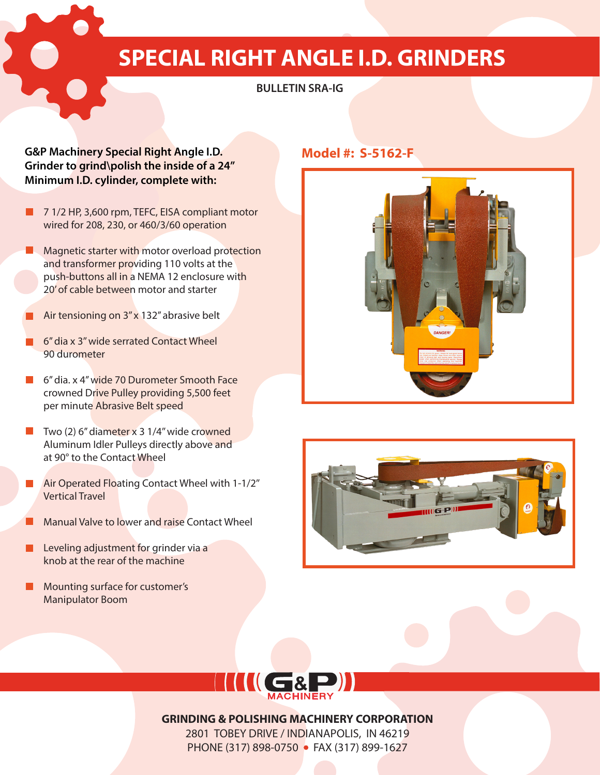# **SPECIAL RIGHT ANGLE I.D. GRINDERS**

## **BULLETIN SRA-IG**

#### **G&P Machinery Special Right Angle I.D. Model #: S-5162-F Grinder to grind\polish the inside of a 24'' Minimum I.D. cylinder, complete with:**

- 7 1/2 HP, 3,600 rpm, TEFC, EISA compliant motor wired for 208, 230, or 460/3/60 operation
- **Magnetic starter with motor overload protection** and transformer providing 110 volts at the push-buttons all in a NEMA 12 enclosure with 20' of cable between motor and starter
- Air tensioning on 3" x 132" abrasive belt
- 6'' dia x 3'' wide serrated Contact Wheel 90 durometer
- 6'' dia. x 4'' wide 70 Durometer Smooth Face crowned Drive Pulley providing 5,500 feet per minute Abrasive Belt speed
- $\blacksquare$  Two (2) 6" diameter x 3 1/4" wide crowned Aluminum Idler Pulleys directly above and at 90° to the Contact Wheel
- Air Operated Floating Contact Wheel with 1-1/2'' Vertical Travel
- Manual Valve to lower and raise Contact Wheel
- Leveling adjustment for grinder via a  $\blacksquare$ knob at the rear of the machine
- **Mounting surface for customer's** Manipulator Boom







#### **GRINDING & POLISHING MACHINERY CORPORATION**

2801 TOBEY DRIVE / INDIANAPOLIS, IN 46219 PHONE (317) 898-0750 • FAX (317) 899-1627